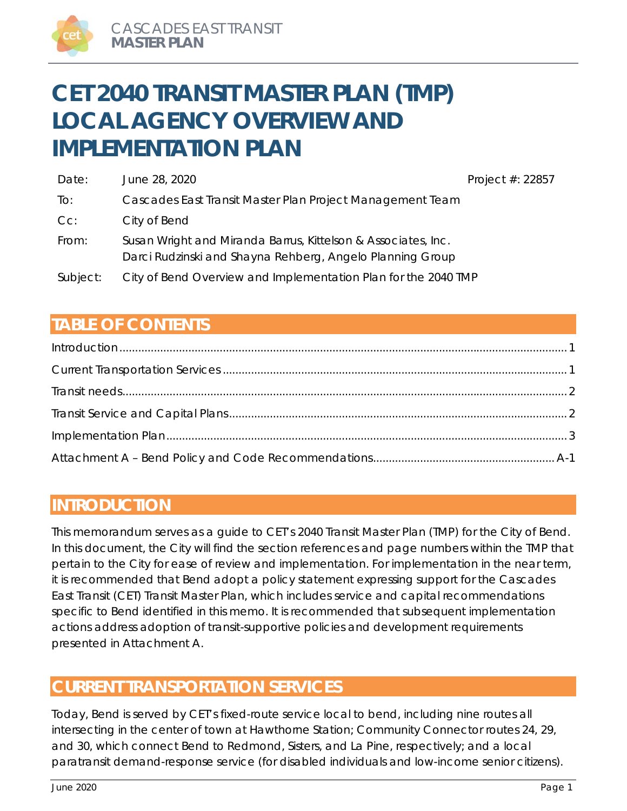# **CET 2040 TRANSIT MASTER PLAN (TMP) LOCAL AGENCY OVERVIEW AND IMPLEMENTATION PLAN**

| Date:    | June 28, 2020                                                                                                              | Project #: 22857 |
|----------|----------------------------------------------------------------------------------------------------------------------------|------------------|
| To:      | Cascades East Transit Master Plan Project Management Team                                                                  |                  |
| Cc:      | City of Bend                                                                                                               |                  |
| From:    | Susan Wright and Miranda Barrus, Kittelson & Associates, Inc.<br>Darci Rudzinski and Shayna Rehberg, Angelo Planning Group |                  |
| Subject: | City of Bend Overview and Implementation Plan for the 2040 TMP                                                             |                  |

# **TABLE OF CONTENTS**

## **INTRODUCTION**

This memorandum serves as a guide to CET's 2040 Transit Master Plan (TMP) for the City of Bend. In this document, the City will find the section references and page numbers within the TMP that pertain to the City for ease of review and implementation. For implementation in the near term, it is recommended that Bend adopt a policy statement expressing support for the Cascades East Transit (CET) Transit Master Plan, which includes service and capital recommendations specific to Bend identified in this memo. It is recommended that subsequent implementation actions address adoption of transit-supportive policies and development requirements presented in Attachment A.

## **CURRENT TRANSPORTATION SERVICES**

Today, Bend is served by CET's fixed-route service local to bend, including nine routes all intersecting in the center of town at Hawthorne Station; Community Connector routes 24, 29, and 30, which connect Bend to Redmond, Sisters, and La Pine, respectively; and a local paratransit demand-response service (for disabled individuals and low-income senior citizens).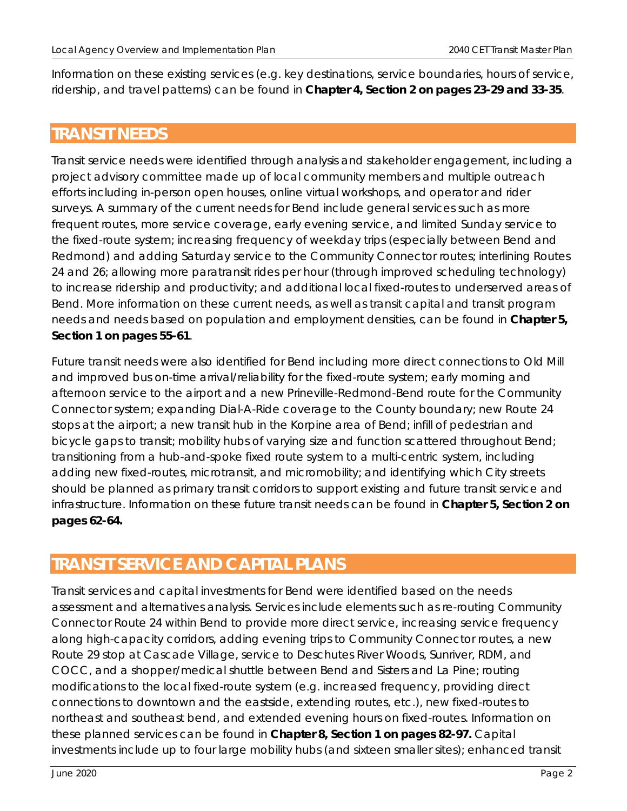Information on these existing services (e.g. key destinations, service boundaries, hours of service, ridership, and travel patterns) can be found in **Chapter 4, Section 2 on pages 23-29 and 33-35**.

### **TRANSIT NEEDS**

Transit service needs were identified through analysis and stakeholder engagement, including a project advisory committee made up of local community members and multiple outreach efforts including in-person open houses, online virtual workshops, and operator and rider surveys. A summary of the current needs for Bend include general services such as more frequent routes, more service coverage, early evening service, and limited Sunday service to the fixed-route system; increasing frequency of weekday trips (especially between Bend and Redmond) and adding Saturday service to the Community Connector routes; interlining Routes 24 and 26; allowing more paratransit rides per hour (through improved scheduling technology) to increase ridership and productivity; and additional local fixed-routes to underserved areas of Bend. More information on these current needs, as well as transit capital and transit program needs and needs based on population and employment densities, can be found in **Chapter 5, Section 1 on pages 55-61**.

Future transit needs were also identified for Bend including more direct connections to Old Mill and improved bus on-time arrival/reliability for the fixed-route system; early morning and afternoon service to the airport and a new Prineville-Redmond-Bend route for the Community Connector system; expanding Dial-A-Ride coverage to the County boundary; new Route 24 stops at the airport; a new transit hub in the Korpine area of Bend; infill of pedestrian and bicycle gaps to transit; mobility hubs of varying size and function scattered throughout Bend; transitioning from a hub-and-spoke fixed route system to a multi-centric system, including adding new fixed-routes, microtransit, and micromobility; and identifying which City streets should be planned as primary transit corridors to support existing and future transit service and infrastructure. Information on these future transit needs can be found in **Chapter 5, Section 2 on pages 62-64.**

## **TRANSIT SERVICE AND CAPITAL PLANS**

Transit services and capital investments for Bend were identified based on the needs assessment and alternatives analysis. Services include elements such as re-routing Community Connector Route 24 within Bend to provide more direct service, increasing service frequency along high-capacity corridors, adding evening trips to Community Connector routes, a new Route 29 stop at Cascade Village, service to Deschutes River Woods, Sunriver, RDM, and COCC, and a shopper/medical shuttle between Bend and Sisters and La Pine; routing modifications to the local fixed-route system (e.g. increased frequency, providing direct connections to downtown and the eastside, extending routes, etc.), new fixed-routes to northeast and southeast bend, and extended evening hours on fixed-routes. Information on these planned services can be found in **Chapter 8, Section 1 on pages 82-97.** Capital investments include up to four large mobility hubs (and sixteen smaller sites); enhanced transit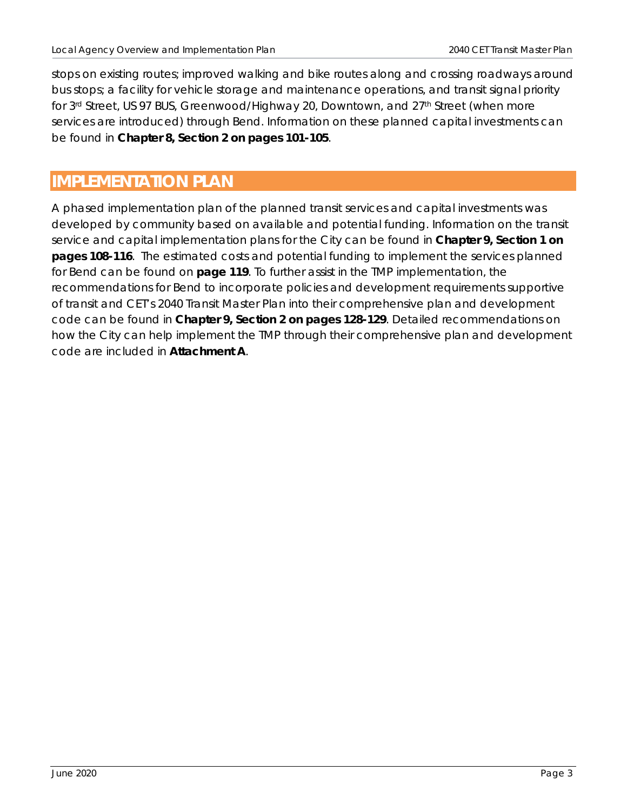stops on existing routes; improved walking and bike routes along and crossing roadways around bus stops; a facility for vehicle storage and maintenance operations, and transit signal priority for 3<sup>rd</sup> Street, US 97 BUS, Greenwood/Highway 20, Downtown, and 27<sup>th</sup> Street (when more services are introduced) through Bend. Information on these planned capital investments can be found in **Chapter 8, Section 2 on pages 101-105**.

# **IMPLEMENTATION PLAN**

A phased implementation plan of the planned transit services and capital investments was developed by community based on available and potential funding. Information on the transit service and capital implementation plans for the City can be found in **Chapter 9, Section 1 on pages 108-116**. The estimated costs and potential funding to implement the services planned for Bend can be found on **page 119**. To further assist in the TMP implementation, the recommendations for Bend to incorporate policies and development requirements supportive of transit and CET's 2040 Transit Master Plan into their comprehensive plan and development code can be found in **Chapter 9, Section 2 on pages 128-129**. Detailed recommendations on how the City can help implement the TMP through their comprehensive plan and development code are included in **Attachment A**.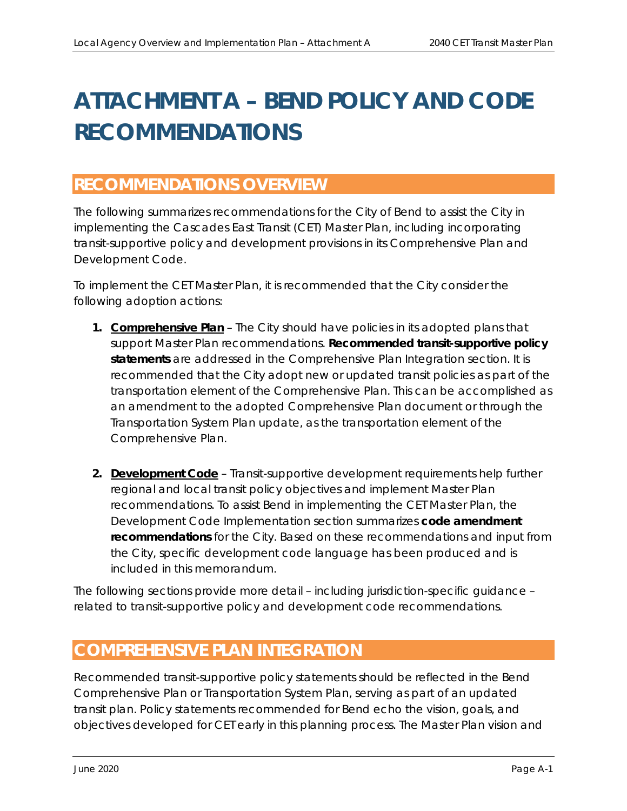# **ATTACHMENT A – BEND POLICY AND CODE RECOMMENDATIONS**

## **RECOMMENDATIONS OVERVIEW**

The following summarizes recommendations for the City of Bend to assist the City in implementing the Cascades East Transit (CET) Master Plan, including incorporating transit-supportive policy and development provisions in its Comprehensive Plan and Development Code.

To implement the CET Master Plan, it is recommended that the City consider the following adoption actions:

- **1. Comprehensive Plan**  The City should have policies in its adopted plans that support Master Plan recommendations. **Recommended transit-supportive policy statements** are addressed in the *Comprehensive Plan Integration* section. It is recommended that the City adopt new or updated transit policies as part of the transportation element of the Comprehensive Plan. This can be accomplished as an amendment to the adopted Comprehensive Plan document or through the Transportation System Plan update, as the transportation element of the Comprehensive Plan.
- **2. Development Code** Transit-supportive development requirements help further regional and local transit policy objectives and implement Master Plan recommendations. To assist Bend in implementing the CET Master Plan, the *Development Code Implementation* section summarizes **code amendment recommendations** for the City. Based on these recommendations and input from the City, specific development code language has been produced and is included in this memorandum.

The following sections provide more detail – including jurisdiction-specific guidance – related to transit-supportive policy and development code recommendations.

## **COMPREHENSIVE PLAN INTEGRATION**

Recommended transit-supportive policy statements should be reflected in the Bend Comprehensive Plan or Transportation System Plan, serving as part of an updated transit plan. Policy statements recommended for Bend echo the vision, goals, and objectives developed for CET early in this planning process. The Master Plan vision and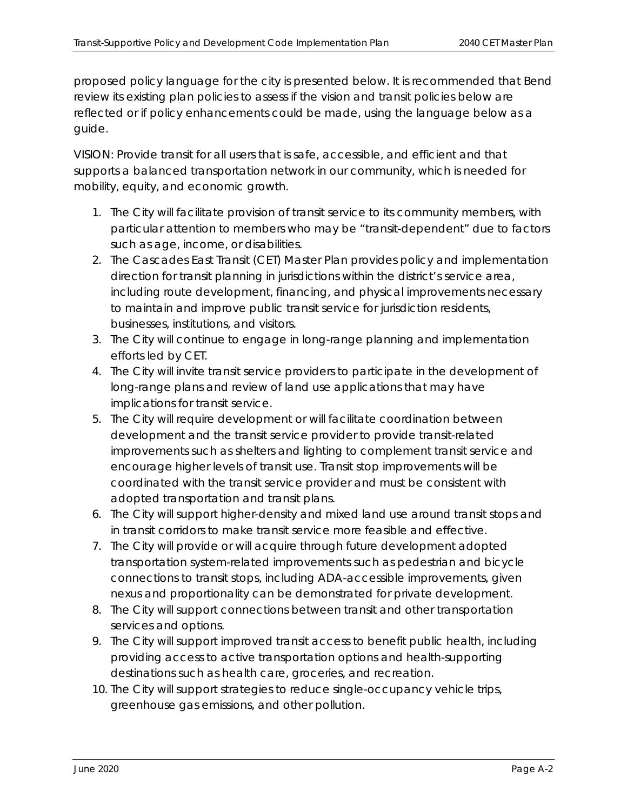proposed policy language for the city is presented below. It is recommended that Bend review its existing plan policies to assess if the vision and transit policies below are reflected or if policy enhancements could be made, using the language below as a guide.

VISION: Provide transit for all users that is safe, accessible, and efficient and that supports a balanced transportation network in our community, which is needed for mobility, equity, and economic growth.

- *1. The City will facilitate provision of transit service to its community members, with particular attention to members who may be "transit-dependent" due to factors such as age, income, or disabilities.*
- *2. The Cascades East Transit (CET) Master Plan provides policy and implementation direction for transit planning in jurisdictions within the district's service area, including route development, financing, and physical improvements necessary to maintain and improve public transit service for jurisdiction residents, businesses, institutions, and visitors.*
- *3. The City will continue to engage in long-range planning and implementation efforts led by CET.*
- *4. The City will invite transit service providers to participate in the development of long-range plans and review of land use applications that may have implications for transit service.*
- *5. The City will require development or will facilitate coordination between development and the transit service provider to provide transit-related improvements such as shelters and lighting to complement transit service and encourage higher levels of transit use. Transit stop improvements will be coordinated with the transit service provider and must be consistent with adopted transportation and transit plans.*
- *6. The City will support higher-density and mixed land use around transit stops and in transit corridors to make transit service more feasible and effective.*
- *7. The City will provide or will acquire through future development adopted transportation system-related improvements such as pedestrian and bicycle connections to transit stops, including ADA-accessible improvements, given nexus and proportionality can be demonstrated for private development.*
- *8. The City will support connections between transit and other transportation services and options.*
- *9. The City will support improved transit access to benefit public health, including providing access to active transportation options and health-supporting destinations such as health care, groceries, and recreation.*
- *10. The City will support strategies to reduce single-occupancy vehicle trips, greenhouse gas emissions, and other pollution.*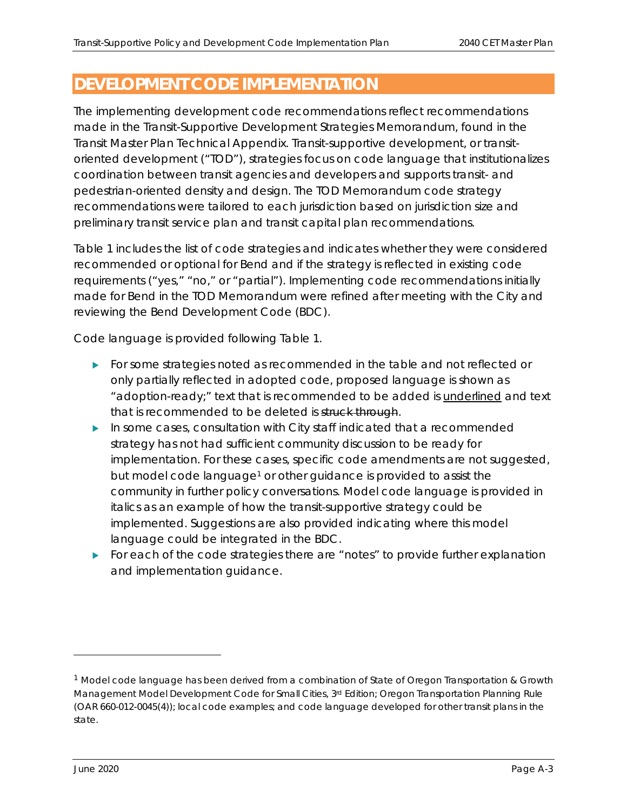## **DEVELOPMENT CODE IMPLEMENTATION**

The implementing development code recommendations reflect recommendations made in the Transit-Supportive Development Strategies Memorandum, found in the Transit Master Plan Technical Appendix. Transit-supportive development, or transitoriented development ("TOD"), strategies focus on code language that institutionalizes coordination between transit agencies and developers and supports transit- and pedestrian-oriented density and design. The TOD Memorandum code strategy recommendations were tailored to each jurisdiction based on jurisdiction size and preliminary transit service plan and transit capital plan recommendations.

Table 1 includes the list of code strategies and indicates whether they were considered recommended or optional for Bend and if the strategy is reflected in existing code requirements ("yes," "no," or "partial"). Implementing code recommendations initially made for Bend in the TOD Memorandum were refined after meeting with the City and reviewing the Bend Development Code (BDC).

Code language is provided following Table 1.

- For some strategies noted as recommended in the table and not reflected or only partially reflected in adopted code, proposed language is shown as "adoption-ready;" text that is recommended to be added is underlined and text that is recommended to be deleted is struck through.
- $\blacktriangleright$  In some cases, consultation with City staff indicated that a recommended strategy has not had sufficient community discussion to be ready for implementation. For these cases, specific code amendments are not suggested, but model code language<sup>1</sup> or other guidance is provided to assist the community in further policy conversations. Model code language is provided in *italics* as an example of how the transit-supportive strategy could be implemented. Suggestions are also provided indicating where this model language could be integrated in the BDC.
- For each of the code strategies there are "notes" to provide further explanation and implementation guidance.

<sup>&</sup>lt;sup>1</sup> Model code language has been derived from a combination of State of Oregon Transportation & Growth Management Model Development Code for Small Cities, 3<sup>rd</sup> Edition; Oregon Transportation Planning Rule (OAR 660-012-0045(4)); local code examples; and code language developed for other transit plans in the state.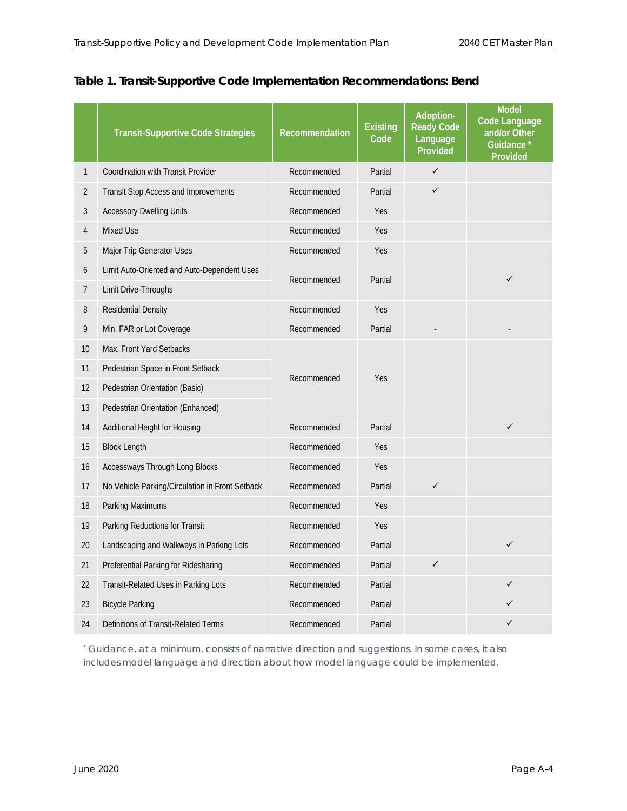|  | Table 1. Transit-Supportive Code Implementation Recommendations: Bend |
|--|-----------------------------------------------------------------------|
|  |                                                                       |

|                | <b>Transit-Supportive Code Strategies</b>       | Recommendation         | <b>Existing</b><br>Code | Adoption-<br><b>Ready Code</b><br>Language<br>Provided | <b>Model</b><br>Code Language<br>and/or Other<br>Guidance*<br><b>Provided</b> |
|----------------|-------------------------------------------------|------------------------|-------------------------|--------------------------------------------------------|-------------------------------------------------------------------------------|
| 1              | <b>Coordination with Transit Provider</b>       | Recommended            | Partial                 | $\checkmark$                                           |                                                                               |
| $\overline{2}$ | Transit Stop Access and Improvements            | Recommended            | Partial                 | $\checkmark$                                           |                                                                               |
| 3              | <b>Accessory Dwelling Units</b>                 | Recommended            | Yes                     |                                                        |                                                                               |
| 4              | Mixed Use                                       | Recommended            | Yes                     |                                                        |                                                                               |
| 5              | Major Trip Generator Uses                       | Recommended            | Yes                     |                                                        |                                                                               |
| 6              | Limit Auto-Oriented and Auto-Dependent Uses     | Partial<br>Recommended |                         |                                                        | ✓                                                                             |
| 7              | Limit Drive-Throughs                            |                        |                         |                                                        |                                                                               |
| 8              | <b>Residential Density</b>                      | Recommended            | Yes                     |                                                        |                                                                               |
| 9              | Min. FAR or Lot Coverage                        | Recommended            | Partial                 |                                                        |                                                                               |
| 10             | Max. Front Yard Setbacks                        |                        |                         |                                                        |                                                                               |
| 11             | Pedestrian Space in Front Setback               |                        | Yes                     |                                                        |                                                                               |
| 12             | Pedestrian Orientation (Basic)                  | Recommended            |                         |                                                        |                                                                               |
| 13             | Pedestrian Orientation (Enhanced)               |                        |                         |                                                        |                                                                               |
| 14             | Additional Height for Housing                   | Recommended            | Partial                 |                                                        | ✓                                                                             |
| 15             | <b>Block Length</b>                             | Recommended            | Yes                     |                                                        |                                                                               |
| 16             | Accessways Through Long Blocks                  | Recommended            | Yes                     |                                                        |                                                                               |
| 17             | No Vehicle Parking/Circulation in Front Setback | Recommended            | Partial                 | $\checkmark$                                           |                                                                               |
| 18             | Parking Maximums                                | Recommended            | Yes                     |                                                        |                                                                               |
| 19             | Parking Reductions for Transit                  | Recommended            | Yes                     |                                                        |                                                                               |
| 20             | Landscaping and Walkways in Parking Lots        | Recommended            | Partial                 |                                                        | $\checkmark$                                                                  |
| 21             | Preferential Parking for Ridesharing            | Recommended            | Partial                 | $\checkmark$                                           |                                                                               |
| 22             | Transit-Related Uses in Parking Lots            | Recommended            | Partial                 |                                                        | ✓                                                                             |
| 23             | <b>Bicycle Parking</b>                          | Recommended            | Partial                 |                                                        |                                                                               |
| 24             | Definitions of Transit-Related Terms            | Recommended            | Partial                 |                                                        |                                                                               |

*\* Guidance, at a minimum, consists of narrative direction and suggestions. In some cases, it also includes model language and direction about how model language could be implemented.*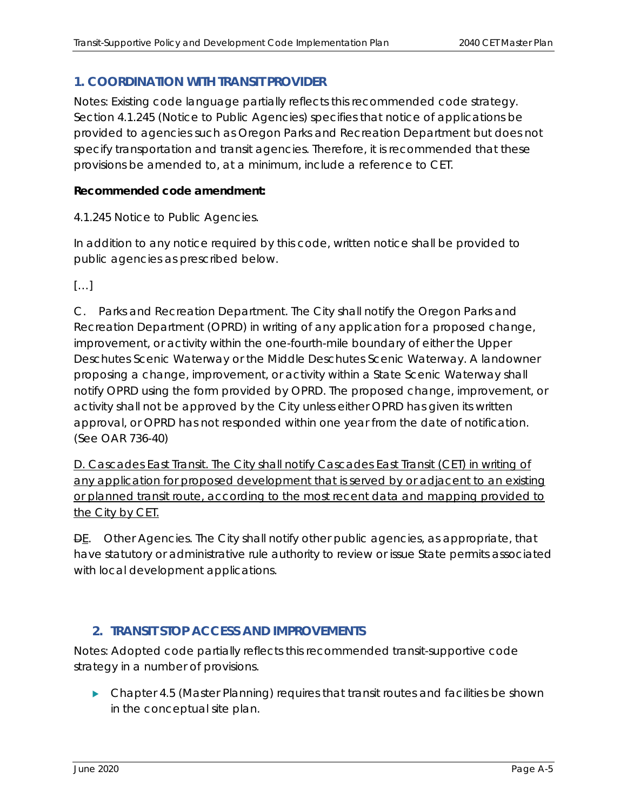#### **1. COORDINATION WITH TRANSIT PROVIDER**

Notes: Existing code language partially reflects this recommended code strategy. Section 4.1.245 (Notice to Public Agencies) specifies that notice of applications be provided to agencies such as Oregon Parks and Recreation Department but does not specify transportation and transit agencies. Therefore, it is recommended that these provisions be amended to, at a minimum, include a reference to CET.

#### **Recommended code amendment:**

4.1.245 Notice to Public Agencies.

In addition to any notice required by this code, written notice shall be provided to public agencies as prescribed below.

[…]

C. Parks and Recreation Department. The City shall notify the Oregon Parks and Recreation Department (OPRD) in writing of any application for a proposed change, improvement, or activity within the one-fourth-mile boundary of either the Upper Deschutes Scenic Waterway or the Middle Deschutes Scenic Waterway. A landowner proposing a change, improvement, or activity within a State Scenic Waterway shall notify OPRD using the form provided by OPRD. The proposed change, improvement, or activity shall not be approved by the City unless either OPRD has given its written approval, or OPRD has not responded within one year from the date of notification. (See OAR 736-40)

D. Cascades East Transit. The City shall notify Cascades East Transit (CET) in writing of any application for proposed development that is served by or adjacent to an existing or planned transit route, according to the most recent data and mapping provided to the City by CET.

 $\overline{DE}$ . Other Agencies. The City shall notify other public agencies, as appropriate, that have statutory or administrative rule authority to review or issue State permits associated with local development applications.

#### **2. TRANSIT STOP ACCESS AND IMPROVEMENTS**

Notes: Adopted code partially reflects this recommended transit-supportive code strategy in a number of provisions.

 Chapter 4.5 (Master Planning) requires that transit routes and facilities be shown in the conceptual site plan.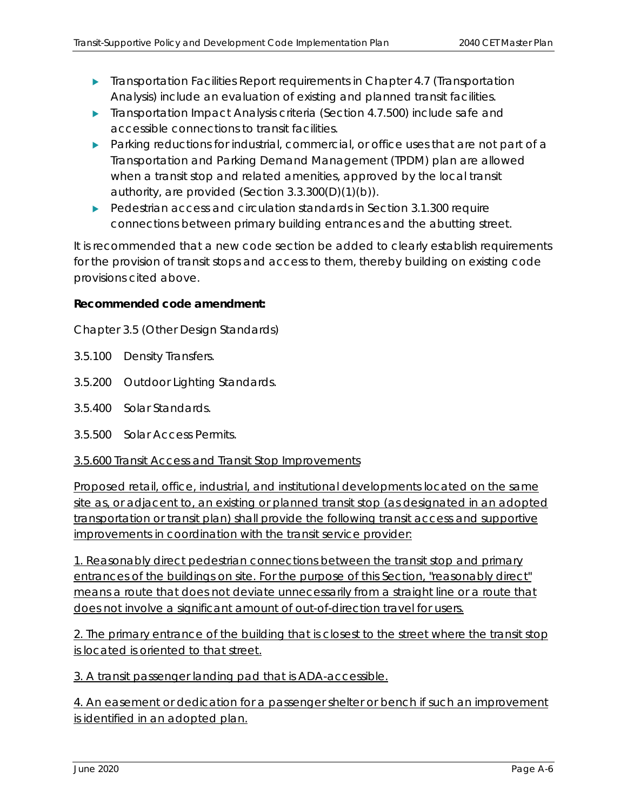- **Transportation Facilities Report requirements in Chapter 4.7 (Transportation** Analysis) include an evaluation of existing and planned transit facilities.
- **Transportation Impact Analysis criteria (Section 4.7.500) include safe and** accessible connections to transit facilities.
- Parking reductions for industrial, commercial, or office uses that are not part of a Transportation and Parking Demand Management (TPDM) plan are allowed when a transit stop and related amenities, approved by the local transit authority, are provided (Section 3.3.300(D)(1)(b)).
- Pedestrian access and circulation standards in Section 3.1.300 require connections between primary building entrances and the abutting street.

It is recommended that a new code section be added to clearly establish requirements for the provision of transit stops and access to them, thereby building on existing code provisions cited above.

#### **Recommended code amendment:**

Chapter 3.5 (Other Design Standards)

- 3.5.100 Density Transfers.
- 3.5.200 Outdoor Lighting Standards.
- 3.5.400 Solar Standards.
- 3.5.500 Solar Access Permits.

#### 3.5.600 Transit Access and Transit Stop Improvements

Proposed retail, office, industrial, and institutional developments located on the same site as, or adjacent to, an existing or planned transit stop (as designated in an adopted transportation or transit plan) shall provide the following transit access and supportive improvements in coordination with the transit service provider:

1. Reasonably direct pedestrian connections between the transit stop and primary entrances of the buildings on site. For the purpose of this Section, "reasonably direct" means a route that does not deviate unnecessarily from a straight line or a route that does not involve a significant amount of out-of-direction travel for users.

2. The primary entrance of the building that is closest to the street where the transit stop is located is oriented to that street.

3. A transit passenger landing pad that is ADA-accessible.

4. An easement or dedication for a passenger shelter or bench if such an improvement is identified in an adopted plan.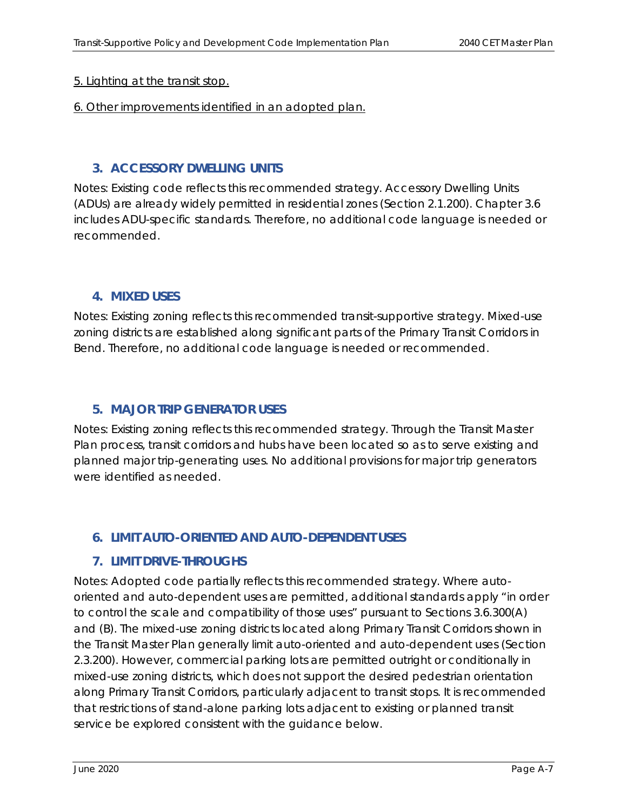#### 5. Lighting at the transit stop.

#### 6. Other improvements identified in an adopted plan.

#### **3. ACCESSORY DWELLING UNITS**

Notes: Existing code reflects this recommended strategy. Accessory Dwelling Units (ADUs) are already widely permitted in residential zones (Section 2.1.200). Chapter 3.6 includes ADU-specific standards. Therefore, no additional code language is needed or recommended.

#### **4. MIXED USES**

Notes: Existing zoning reflects this recommended transit-supportive strategy. Mixed-use zoning districts are established along significant parts of the Primary Transit Corridors in Bend. Therefore, no additional code language is needed or recommended.

#### **5. MAJOR TRIP GENERATOR USES**

Notes: Existing zoning reflects this recommended strategy. Through the Transit Master Plan process, transit corridors and hubs have been located so as to serve existing and planned major trip-generating uses. No additional provisions for major trip generators were identified as needed.

#### **6. LIMIT AUTO-ORIENTED AND AUTO-DEPENDENT USES**

#### **7. LIMIT DRIVE-THROUGHS**

Notes: Adopted code partially reflects this recommended strategy. Where autooriented and auto-dependent uses are permitted, additional standards apply "in order to control the scale and compatibility of those uses" pursuant to Sections 3.6.300(A) and (B). The mixed-use zoning districts located along Primary Transit Corridors shown in the Transit Master Plan generally limit auto-oriented and auto-dependent uses (Section 2.3.200). However, commercial parking lots are permitted outright or conditionally in mixed-use zoning districts, which does not support the desired pedestrian orientation along Primary Transit Corridors, particularly adjacent to transit stops. It is recommended that restrictions of stand-alone parking lots adjacent to existing or planned transit service be explored consistent with the guidance below.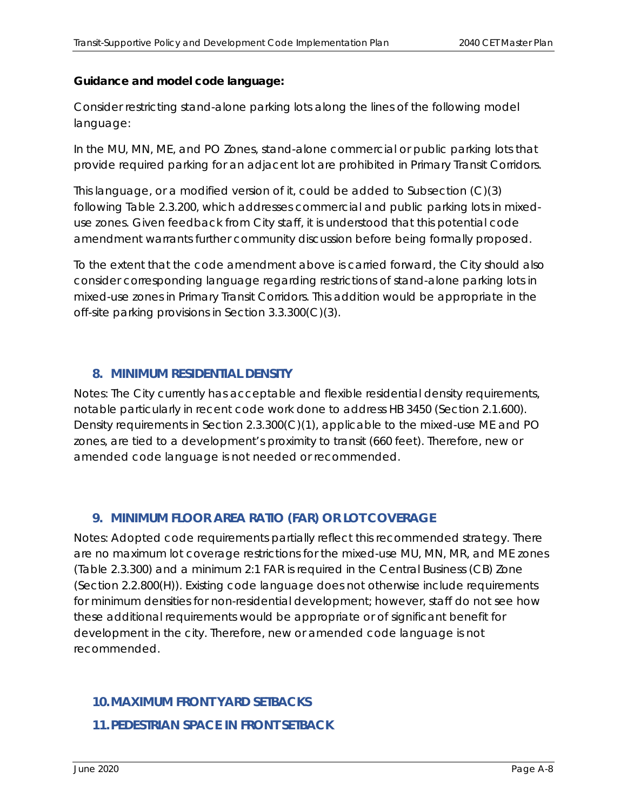#### **Guidance and model code language:**

Consider restricting stand-alone parking lots along the lines of the following model language:

*In the MU, MN, ME, and PO Zones, stand-alone commercial or public parking lots that provide required parking for an adjacent lot are prohibited in Primary Transit Corridors.* 

This language, or a modified version of it, could be added to Subsection (C)(3) following Table 2.3.200, which addresses commercial and public parking lots in mixeduse zones. Given feedback from City staff, it is understood that this potential code amendment warrants further community discussion before being formally proposed.

To the extent that the code amendment above is carried forward, the City should also consider corresponding language regarding restrictions of stand-alone parking lots in mixed-use zones in Primary Transit Corridors. This addition would be appropriate in the off-site parking provisions in Section 3.3.300(C)(3).

#### **8. MINIMUM RESIDENTIAL DENSITY**

Notes: The City currently has acceptable and flexible residential density requirements, notable particularly in recent code work done to address HB 3450 (Section 2.1.600). Density requirements in Section 2.3.300(C)(1), applicable to the mixed-use ME and PO zones, are tied to a development's proximity to transit (660 feet). Therefore, new or amended code language is not needed or recommended.

#### **9. MINIMUM FLOOR AREA RATIO (FAR) OR LOT COVERAGE**

Notes: Adopted code requirements partially reflect this recommended strategy. There are no maximum lot coverage restrictions for the mixed-use MU, MN, MR, and ME zones (Table 2.3.300) and a minimum 2:1 FAR is required in the Central Business (CB) Zone (Section 2.2.800(H)). Existing code language does not otherwise include requirements for minimum densities for non-residential development; however, staff do not see how these additional requirements would be appropriate or of significant benefit for development in the city. Therefore, new or amended code language is not recommended.

#### **10.MAXIMUM FRONT YARD SETBACKS**

**11.PEDESTRIAN SPACE IN FRONT SETBACK**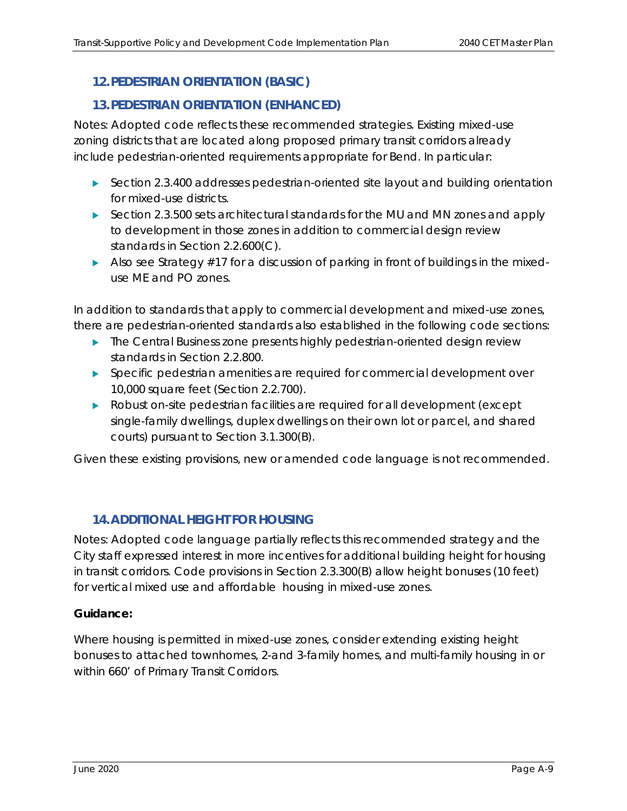#### **12.PEDESTRIAN ORIENTATION (BASIC)**

#### **13.PEDESTRIAN ORIENTATION (ENHANCED)**

Notes: Adopted code reflects these recommended strategies. Existing mixed-use zoning districts that are located along proposed primary transit corridors already include pedestrian-oriented requirements appropriate for Bend. In particular:

- ▶ Section 2.3.400 addresses pedestrian-oriented site layout and building orientation for mixed-use districts.
- Section 2.3.500 sets architectural standards for the MU and MN zones and apply to development in those zones in addition to commercial design review standards in Section 2.2.600(C).
- Also see Strategy #17 for a discussion of parking in front of buildings in the mixeduse ME and PO zones.

In addition to standards that apply to commercial development and mixed-use zones, there are pedestrian-oriented standards also established in the following code sections:

- **The Central Business zone presents highly pedestrian-oriented design review** standards in Section 2.2.800.
- Specific pedestrian amenities are required for commercial development over 10,000 square feet (Section 2.2.700).
- **Robust on-site pedestrian facilities are required for all development (except** single-family dwellings, duplex dwellings on their own lot or parcel, and shared courts) pursuant to Section 3.1.300(B).

Given these existing provisions, new or amended code language is not recommended.

#### **14.ADDITIONAL HEIGHT FOR HOUSING**

Notes: Adopted code language partially reflects this recommended strategy and the City staff expressed interest in more incentives for additional building height for housing in transit corridors. Code provisions in Section 2.3.300(B) allow height bonuses (10 feet) for vertical mixed use and affordable housing in mixed-use zones.

#### **Guidance:**

Where housing is permitted in mixed-use zones, consider extending existing height bonuses to attached townhomes, 2-and 3-family homes, and multi-family housing in or within 660' of Primary Transit Corridors.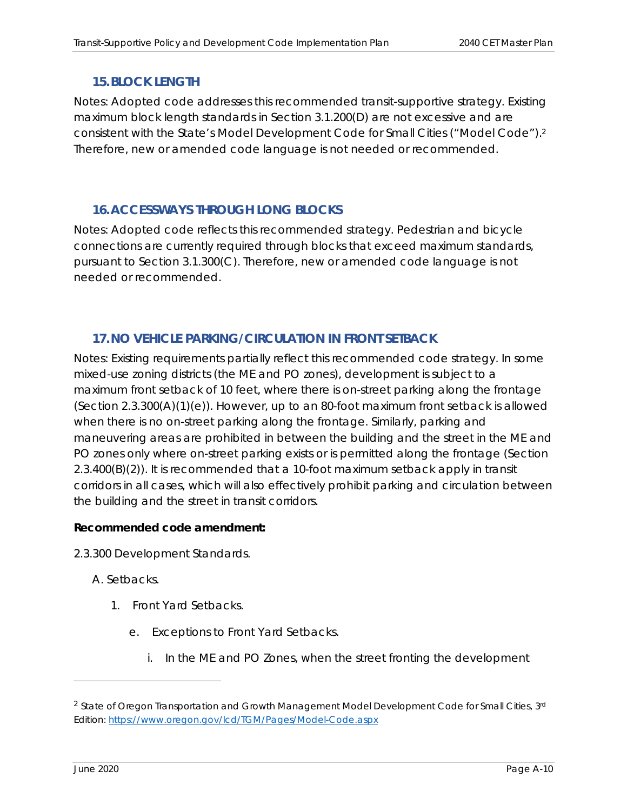#### **15.BLOCK LENGTH**

Notes: Adopted code addresses this recommended transit-supportive strategy. Existing maximum block length standards in Section 3.1.200(D) are not excessive and are consistent with the State's Model Development Code for Small Cities ("Model Code").2 Therefore, new or amended code language is not needed or recommended.

#### **16.ACCESSWAYS THROUGH LONG BLOCKS**

Notes: Adopted code reflects this recommended strategy. Pedestrian and bicycle connections are currently required through blocks that exceed maximum standards, pursuant to Section 3.1.300(C). Therefore, new or amended code language is not needed or recommended.

#### **17.NO VEHICLE PARKING/CIRCULATION IN FRONT SETBACK**

Notes: Existing requirements partially reflect this recommended code strategy. In some mixed-use zoning districts (the ME and PO zones), development is subject to a maximum front setback of 10 feet, where there is on-street parking along the frontage  $(Section 2.3.300(A)(1)(e))$ . However, up to an 80-foot maximum front setback is allowed when there is no on-street parking along the frontage. Similarly, parking and maneuvering areas are prohibited in between the building and the street in the ME and PO zones only where on-street parking exists or is permitted along the frontage (Section 2.3.400(B)(2)). It is recommended that a 10-foot maximum setback apply in transit corridors in all cases, which will also effectively prohibit parking and circulation between the building and the street in transit corridors.

#### **Recommended code amendment:**

2.3.300 Development Standards.

#### A. Setbacks.

- 1. Front Yard Setbacks.
	- e. Exceptions to Front Yard Setbacks.
		- i. In the ME and PO Zones, when the street fronting the development

<sup>&</sup>lt;sup>2</sup> State of Oregon Transportation and Growth Management Model Development Code for Small Cities, 3rd Edition: https://www.oregon.gov/lcd/TGM/Pages/Model-Code.aspx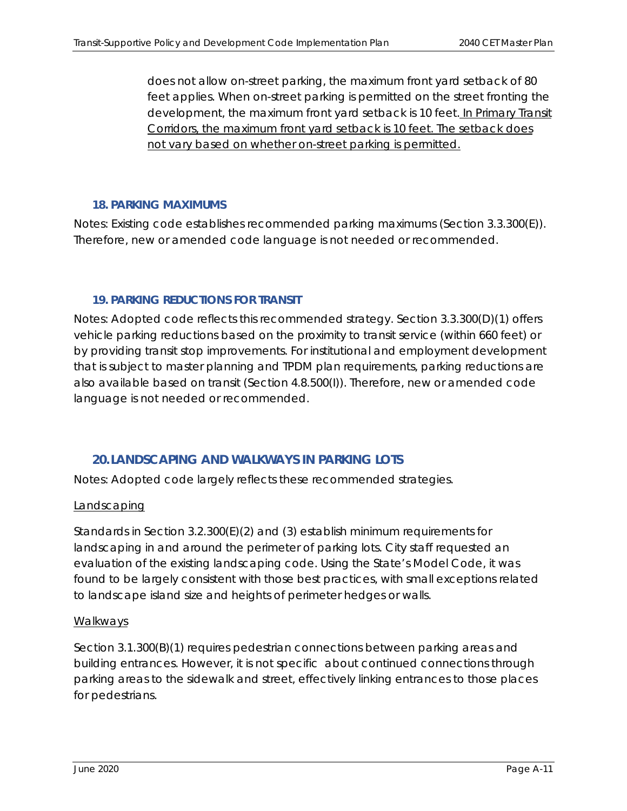does not allow on-street parking, the maximum front yard setback of 80 feet applies. When on-street parking is permitted on the street fronting the development, the maximum front yard setback is 10 feet. In Primary Transit Corridors, the maximum front yard setback is 10 feet. The setback does not vary based on whether on-street parking is permitted.

#### **18. PARKING MAXIMUMS**

Notes: Existing code establishes recommended parking maximums (Section 3.3.300(E)). Therefore, new or amended code language is not needed or recommended.

#### **19. PARKING REDUCTIONS FOR TRANSIT**

Notes: Adopted code reflects this recommended strategy. Section 3.3.300(D)(1) offers vehicle parking reductions based on the proximity to transit service (within 660 feet) or by providing transit stop improvements. For institutional and employment development that is subject to master planning and TPDM plan requirements, parking reductions are also available based on transit (Section 4.8.500(I)). Therefore, new or amended code language is not needed or recommended.

#### **20.LANDSCAPING AND WALKWAYS IN PARKING LOTS**

Notes: Adopted code largely reflects these recommended strategies.

#### **Landscaping**

Standards in Section 3.2.300(E)(2) and (3) establish minimum requirements for landscaping in and around the perimeter of parking lots. City staff requested an evaluation of the existing landscaping code. Using the State's Model Code, it was found to be largely consistent with those best practices, with small exceptions related to landscape island size and heights of perimeter hedges or walls.

#### Walkways

Section 3.1.300(B)(1) requires pedestrian connections between parking areas and building entrances. However, it is not specific about continued connections through parking areas to the sidewalk and street, effectively linking entrances to those places for pedestrians.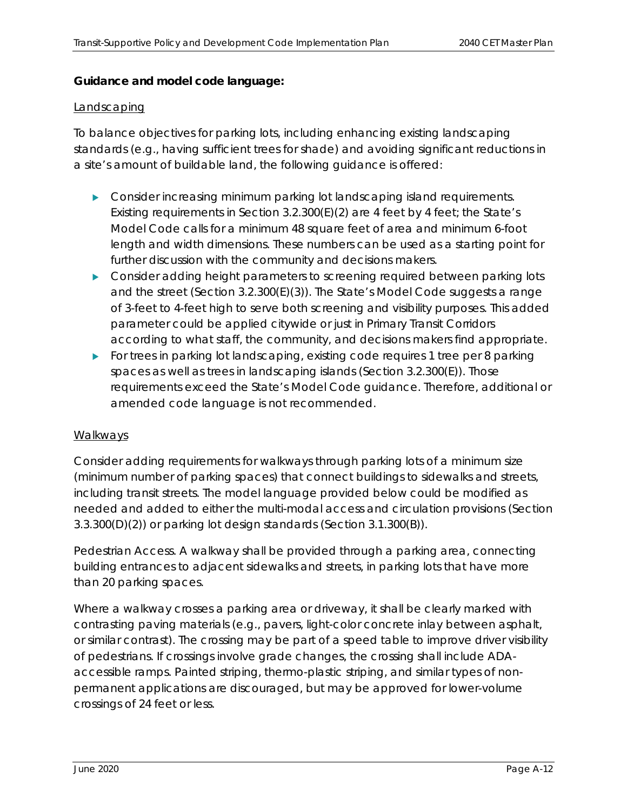#### **Guidance and model code language:**

#### Landscaping

To balance objectives for parking lots, including enhancing existing landscaping standards (e.g., having sufficient trees for shade) and avoiding significant reductions in a site's amount of buildable land, the following guidance is offered:

- **Consider increasing minimum parking lot landscaping island requirements.** Existing requirements in Section  $3.2.300(E)(2)$  are 4 feet by 4 feet; the State's Model Code calls for a minimum 48 square feet of area and minimum 6-foot length and width dimensions. These numbers can be used as a starting point for further discussion with the community and decisions makers.
- Consider adding height parameters to screening required between parking lots and the street (Section 3.2.300(E)(3)). The State's Model Code suggests a range of 3-feet to 4-feet high to serve both screening and visibility purposes. This added parameter could be applied citywide or just in Primary Transit Corridors according to what staff, the community, and decisions makers find appropriate.
- For trees in parking lot landscaping, existing code requires 1 tree per 8 parking spaces as well as trees in landscaping islands (Section 3.2.300(E)). Those requirements exceed the State's Model Code guidance. Therefore, additional or amended code language is not recommended.

#### Walkways

Consider adding requirements for walkways through parking lots of a minimum size (minimum number of parking spaces) that connect buildings to sidewalks and streets, including transit streets. The model language provided below could be modified as needed and added to either the multi-modal access and circulation provisions (Section 3.3.300(D)(2)) or parking lot design standards (Section 3.1.300(B)).

*Pedestrian Access. A walkway shall be provided through a parking area, connecting building entrances to adjacent sidewalks and streets, in parking lots that have more than 20 parking spaces.* 

*Where a walkway crosses a parking area or driveway, it shall be clearly marked with contrasting paving materials (e.g., pavers, light-color concrete inlay between asphalt, or similar contrast). The crossing may be part of a speed table to improve driver visibility of pedestrians. If crossings involve grade changes, the crossing shall include ADAaccessible ramps. Painted striping, thermo-plastic striping, and similar types of nonpermanent applications are discouraged, but may be approved for lower-volume crossings of 24 feet or less.*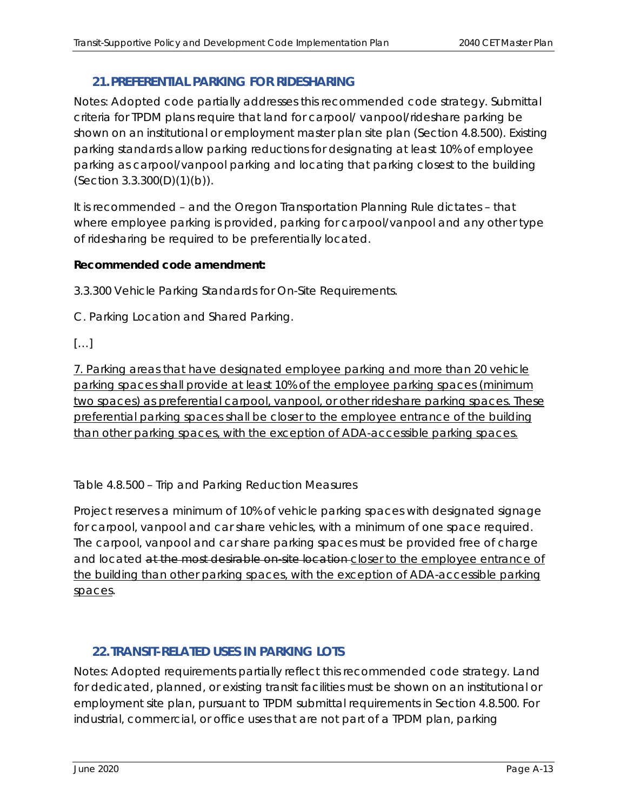#### **21.PREFERENTIAL PARKING FOR RIDESHARING**

Notes: Adopted code partially addresses this recommended code strategy. Submittal criteria for TPDM plans require that land for carpool/ vanpool/rideshare parking be shown on an institutional or employment master plan site plan (Section 4.8.500). Existing parking standards allow parking reductions for designating at least 10% of employee parking as carpool/vanpool parking and locating that parking closest to the building (Section 3.3.300(D)(1)(b)).

It is recommended – and the Oregon Transportation Planning Rule dictates – that where employee parking is provided, parking for carpool/vanpool and any other type of ridesharing be required to be preferentially located.

#### **Recommended code amendment:**

3.3.300 Vehicle Parking Standards for On-Site Requirements.

C. Parking Location and Shared Parking.

[…]

7. Parking areas that have designated employee parking and more than 20 vehicle parking spaces shall provide at least 10% of the employee parking spaces (minimum two spaces) as preferential carpool, vanpool, or other rideshare parking spaces. These preferential parking spaces shall be closer to the employee entrance of the building than other parking spaces, with the exception of ADA-accessible parking spaces.

Table 4.8.500 – Trip and Parking Reduction Measures

Project reserves a minimum of 10% of vehicle parking spaces with designated signage for carpool, vanpool and car share vehicles, with a minimum of one space required. The carpool, vanpool and car share parking spaces must be provided free of charge and located at the most desirable on site location closer to the employee entrance of the building than other parking spaces, with the exception of ADA-accessible parking spaces.

#### **22.TRANSIT-RELATED USES IN PARKING LOTS**

Notes: Adopted requirements partially reflect this recommended code strategy. Land for dedicated, planned, or existing transit facilities must be shown on an institutional or employment site plan, pursuant to TPDM submittal requirements in Section 4.8.500. For industrial, commercial, or office uses that are not part of a TPDM plan, parking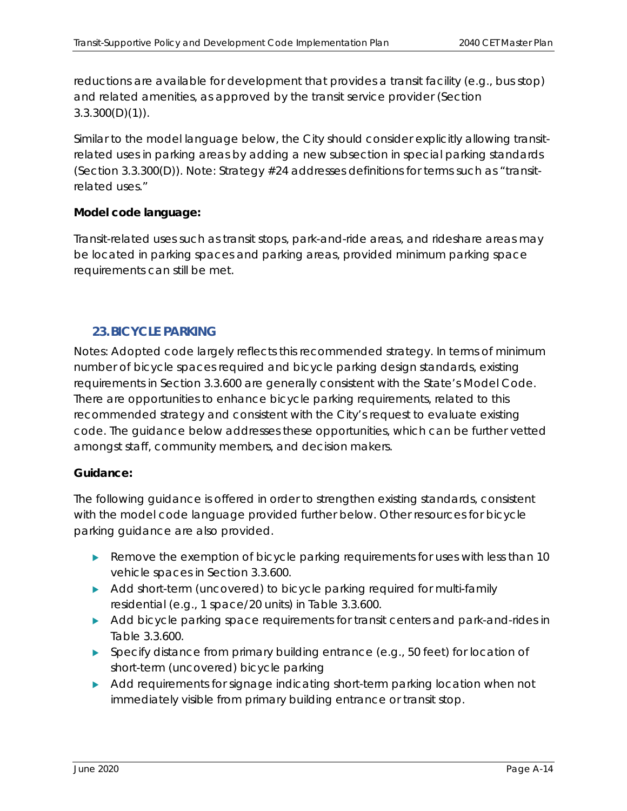reductions are available for development that provides a transit facility (e.g., bus stop) and related amenities, as approved by the transit service provider (Section  $3.3.300(D)(1)$ .

Similar to the model language below, the City should consider explicitly allowing transitrelated uses in parking areas by adding a new subsection in special parking standards (Section 3.3.300(D)). Note: Strategy #24 addresses definitions for terms such as "transitrelated uses."

#### **Model code language:**

*Transit-related uses such as transit stops, park-and-ride areas, and rideshare areas may be located in parking spaces and parking areas, provided minimum parking space requirements can still be met.* 

#### **23.BICYCLE PARKING**

Notes: Adopted code largely reflects this recommended strategy. In terms of minimum number of bicycle spaces required and bicycle parking design standards, existing requirements in Section 3.3.600 are generally consistent with the State's Model Code. There are opportunities to enhance bicycle parking requirements, related to this recommended strategy and consistent with the City's request to evaluate existing code. The guidance below addresses these opportunities, which can be further vetted amongst staff, community members, and decision makers.

#### **Guidance:**

The following guidance is offered in order to strengthen existing standards, consistent with the model code language provided further below. Other resources for bicycle parking guidance are also provided.

- Remove the exemption of bicycle parking requirements for uses with less than 10 vehicle spaces in Section 3.3.600.
- Add short-term (uncovered) to bicycle parking required for multi-family residential (e.g., 1 space/20 units) in Table 3.3.600.
- Add bicycle parking space requirements for transit centers and park-and-rides in Table 3.3.600.
- $\triangleright$  Specify distance from primary building entrance (e.g., 50 feet) for location of short-term (uncovered) bicycle parking
- Add requirements for signage indicating short-term parking location when not immediately visible from primary building entrance or transit stop.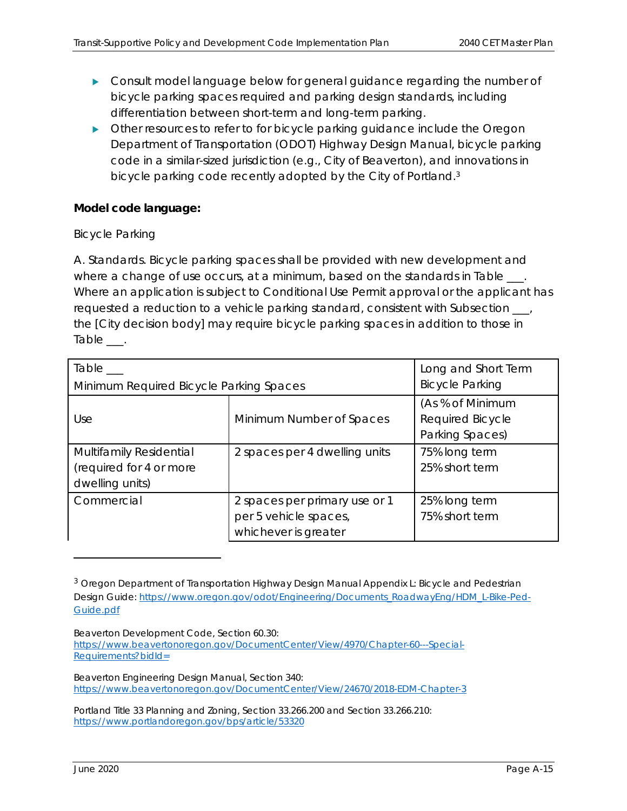- **Consult model language below for general guidance regarding the number of** bicycle parking spaces required and parking design standards, including differentiation between short-term and long-term parking.
- **Dumber 1** Other resources to refer to for bicycle parking guidance include the Oregon Department of Transportation (ODOT) Highway Design Manual, bicycle parking code in a similar-sized jurisdiction (e.g., City of Beaverton), and innovations in bicycle parking code recently adopted by the City of Portland.<sup>3</sup>

#### **Model code language:**

#### *Bicycle Parking*

*A. Standards. Bicycle parking spaces shall be provided with new development and where a change of use occurs, at a minimum, based on the standards in Table \_\_\_. Where an application is subject to Conditional Use Permit approval or the applicant has requested a reduction to a vehicle parking standard, consistent with Subsection \_\_\_, the [City decision body] may require bicycle parking spaces in addition to those in Table \_\_\_.* 

| $Table \_\_$                            | Long and Short Term           |                        |
|-----------------------------------------|-------------------------------|------------------------|
| Minimum Required Bicycle Parking Spaces |                               | <b>Bicycle Parking</b> |
|                                         |                               | (As % of Minimum       |
| Use                                     | Minimum Number of Spaces      | Required Bicycle       |
|                                         |                               | Parking Spaces)        |
| Multifamily Residential                 | 2 spaces per 4 dwelling units | 75% long term          |
| (required for 4 or more                 |                               | 25% short term         |
| dwelling units)                         |                               |                        |
| Commercial                              | 2 spaces per primary use or 1 | 25% long term          |
|                                         | per 5 vehicle spaces,         | 75% short term         |
|                                         | whichever is greater          |                        |

 $3$  Oregon Department of Transportation Highway Design Manual Appendix L: Bicycle and Pedestrian Design Guide: https://www.oregon.gov/odot/Engineering/Documents\_RoadwayEng/HDM\_L-Bike-Ped-Guide.pdf

Beaverton Development Code, Section 60.30:

https://www.beavertonoregon.gov/DocumentCenter/View/4970/Chapter-60---Special-Requirements?bidId=

Beaverton Engineering Design Manual, Section 340: https://www.beavertonoregon.gov/DocumentCenter/View/24670/2018-EDM-Chapter-3

Portland Title 33 Planning and Zoning, Section 33.266.200 and Section 33.266.210: https://www.portlandoregon.gov/bps/article/53320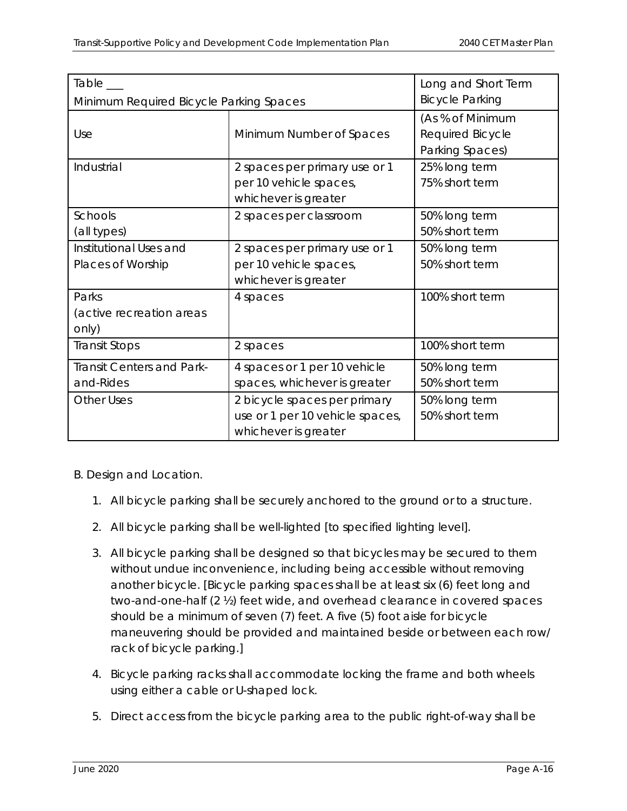| Table___                                      |                                                                                         | Long and Short Term                                     |
|-----------------------------------------------|-----------------------------------------------------------------------------------------|---------------------------------------------------------|
| Minimum Required Bicycle Parking Spaces       |                                                                                         | <b>Bicycle Parking</b>                                  |
| Use                                           | Minimum Number of Spaces                                                                | (As % of Minimum<br>Required Bicycle<br>Parking Spaces) |
| <b>Industrial</b>                             | 2 spaces per primary use or 1<br>per 10 vehicle spaces,<br>whichever is greater         | 25% long term<br>75% short term                         |
| <b>Schools</b><br>(all types)                 | 2 spaces per classroom                                                                  | 50% long term<br>50% short term                         |
| Institutional Uses and<br>Places of Worship   | 2 spaces per primary use or 1<br>per 10 vehicle spaces,<br>whichever is greater         | 50% long term<br>50% short term                         |
| Parks<br>(active recreation areas<br>only)    | 4 spaces                                                                                | 100% short term                                         |
| Transit Stops                                 | 2 spaces                                                                                | 100% short term                                         |
| <b>Transit Centers and Park-</b><br>and-Rides | 4 spaces or 1 per 10 vehicle<br>spaces, whichever is greater                            | 50% long term<br>50% short term                         |
| <b>Other Uses</b>                             | 2 bicycle spaces per primary<br>use or 1 per 10 vehicle spaces,<br>whichever is greater | 50% long term<br>50% short term                         |

#### *B. Design and Location.*

- 1. All bicycle parking shall be securely anchored to the ground or to a structure.
- *2. All bicycle parking shall be well-lighted [to specified lighting level].*
- *3. All bicycle parking shall be designed so that bicycles may be secured to them without undue inconvenience, including being accessible without removing another bicycle. [Bicycle parking spaces shall be at least six (6) feet long and two-and-one-half (2 ½) feet wide, and overhead clearance in covered spaces should be a minimum of seven (7) feet. A five (5) foot aisle for bicycle maneuvering should be provided and maintained beside or between each row/ rack of bicycle parking.]*
- *4. Bicycle parking racks shall accommodate locking the frame and both wheels using either a cable or U-shaped lock.*
- *5. Direct access from the bicycle parking area to the public right-of-way shall be*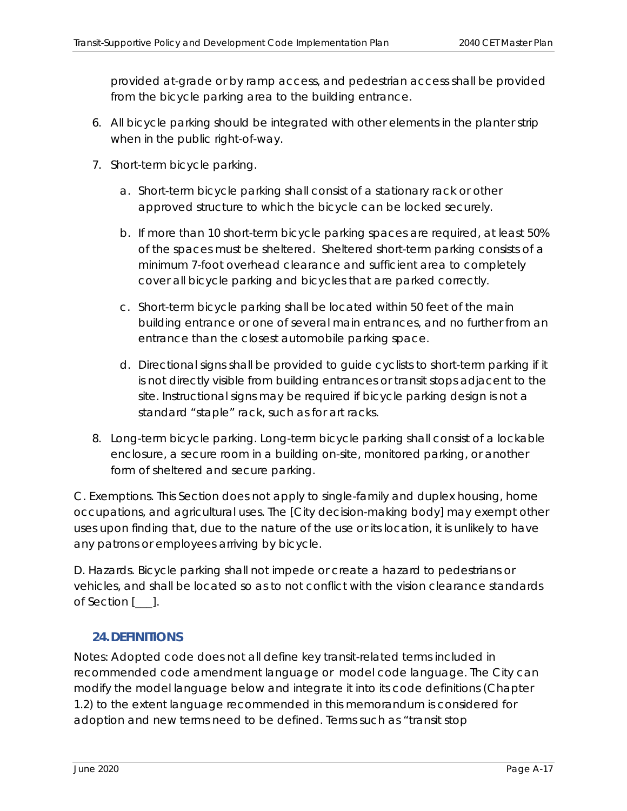*provided at-grade or by ramp access, and pedestrian access shall be provided from the bicycle parking area to the building entrance.* 

- *6. All bicycle parking should be integrated with other elements in the planter strip when in the public right-of-way.*
- *7. Short-term bicycle parking.* 
	- *a. Short-term bicycle parking shall consist of a stationary rack or other approved structure to which the bicycle can be locked securely.*
	- *b. If more than 10 short-term bicycle parking spaces are required, at least 50% of the spaces must be sheltered. Sheltered short-term parking consists of a minimum 7-foot overhead clearance and sufficient area to completely cover all bicycle parking and bicycles that are parked correctly.*
	- *c. Short-term bicycle parking shall be located within 50 feet of the main building entrance or one of several main entrances, and no further from an entrance than the closest automobile parking space.*
	- *d. Directional signs shall be provided to guide cyclists to short-term parking if it is not directly visible from building entrances or transit stops adjacent to the site. Instructional signs may be required if bicycle parking design is not a standard "staple" rack, such as for art racks.*
- *8. Long-term bicycle parking. Long-term bicycle parking shall consist of a lockable enclosure, a secure room in a building on-site, monitored parking, or another form of sheltered and secure parking.*

*C. Exemptions. This Section does not apply to single-family and duplex housing, home occupations, and agricultural uses. The [City decision-making body] may exempt other uses upon finding that, due to the nature of the use or its location, it is unlikely to have any patrons or employees arriving by bicycle.* 

*D. Hazards. Bicycle parking shall not impede or create a hazard to pedestrians or vehicles, and shall be located so as to not conflict with the vision clearance standards of Section [\_\_\_].* 

#### **24.DEFINITIONS**

Notes: Adopted code does not all define key transit-related terms included in recommended code amendment language or model code language. The City can modify the model language below and integrate it into its code definitions (Chapter 1.2) to the extent language recommended in this memorandum is considered for adoption and new terms need to be defined. Terms such as "transit stop